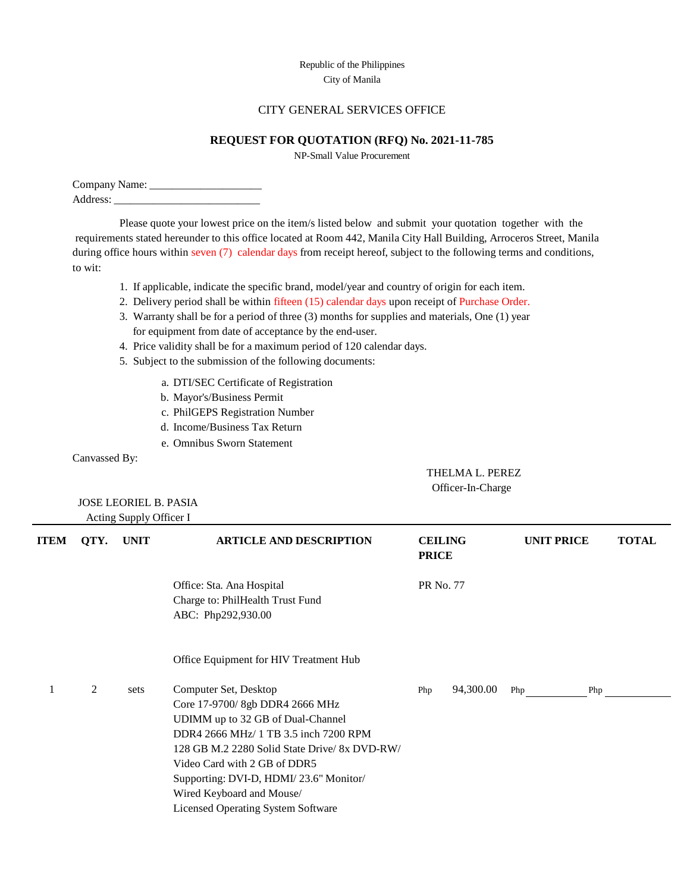## Republic of the Philippines City of Manila

## CITY GENERAL SERVICES OFFICE

## **REQUEST FOR QUOTATION (RFQ) No. 2021-11-785**

NP-Small Value Procurement

| Company Name: |  |
|---------------|--|
| Address:      |  |

Please quote your lowest price on the item/s listed below and submit your quotation together with the requirements stated hereunder to this office located at Room 442, Manila City Hall Building, Arroceros Street, Manila during office hours within seven (7) calendar days from receipt hereof, subject to the following terms and conditions, to wit:

- 1. If applicable, indicate the specific brand, model/year and country of origin for each item.
- 2. Delivery period shall be within fifteen (15) calendar days upon receipt of Purchase Order.
- 3. Warranty shall be for a period of three (3) months for supplies and materials, One (1) year for equipment from date of acceptance by the end-user.
- 4. Price validity shall be for a maximum period of 120 calendar days.
- 5. Subject to the submission of the following documents:
	- a. DTI/SEC Certificate of Registration
	- b. Mayor's/Business Permit
	- c. PhilGEPS Registration Number
	- d. Income/Business Tax Return
	- e. Omnibus Sworn Statement

Canvassed By:

 THELMA L. PEREZ Officer-In-Charge

 JOSE LEORIEL B. PASIA Acting Supply Officer I

| <b>ITEM</b> | QTY. | <b>UNIT</b> | <b>ARTICLE AND DESCRIPTION</b>                                                                                                                                                                                                                                                                                                              | <b>CEILING</b><br><b>PRICE</b> |           | <b>UNIT PRICE</b> | <b>TOTAL</b> |
|-------------|------|-------------|---------------------------------------------------------------------------------------------------------------------------------------------------------------------------------------------------------------------------------------------------------------------------------------------------------------------------------------------|--------------------------------|-----------|-------------------|--------------|
|             |      |             | Office: Sta. Ana Hospital<br>Charge to: PhilHealth Trust Fund<br>ABC: Php292,930.00                                                                                                                                                                                                                                                         | PR No. 77                      |           |                   |              |
|             |      |             | Office Equipment for HIV Treatment Hub                                                                                                                                                                                                                                                                                                      |                                |           |                   |              |
|             | 2    | sets        | Computer Set, Desktop<br>Core 17-9700/ 8gb DDR4 2666 MHz<br>UDIMM up to 32 GB of Dual-Channel<br>DDR4 2666 MHz/ 1 TB 3.5 inch 7200 RPM<br>128 GB M.2 2280 Solid State Drive/ 8x DVD-RW/<br>Video Card with 2 GB of DDR5<br>Supporting: DVI-D, HDMI/23.6" Monitor/<br>Wired Keyboard and Mouse/<br><b>Licensed Operating System Software</b> | Php                            | 94,300.00 | Php               | Php          |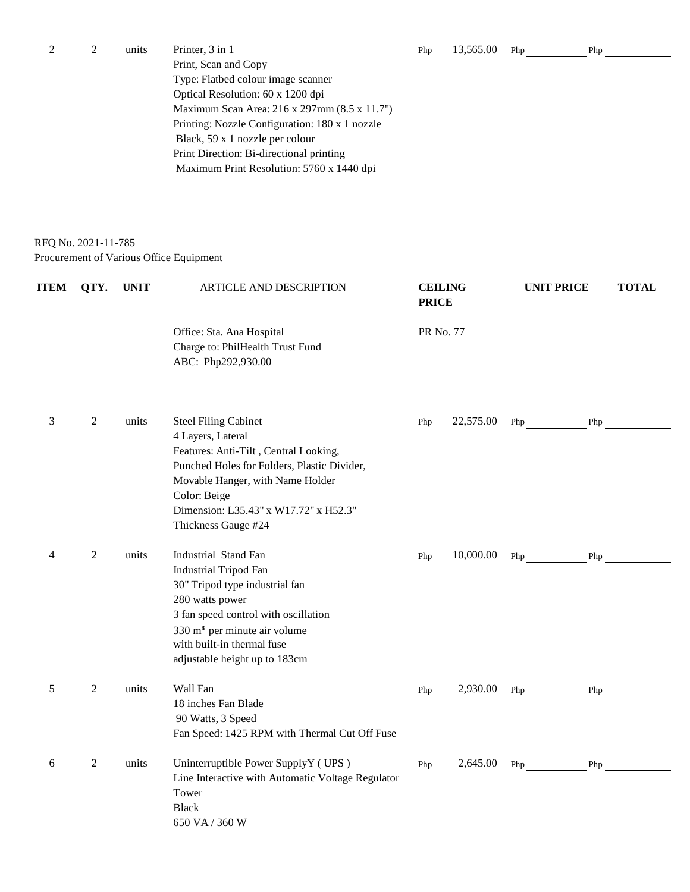| 2 | units | Printer, 3 in 1                                | Php | 13,565.00 | Php | Php |
|---|-------|------------------------------------------------|-----|-----------|-----|-----|
|   |       | Print, Scan and Copy                           |     |           |     |     |
|   |       | Type: Flatbed colour image scanner             |     |           |     |     |
|   |       | Optical Resolution: 60 x 1200 dpi              |     |           |     |     |
|   |       | Maximum Scan Area: 216 x 297mm (8.5 x 11.7")   |     |           |     |     |
|   |       | Printing: Nozzle Configuration: 180 x 1 nozzle |     |           |     |     |
|   |       | Black, 59 x 1 nozzle per colour                |     |           |     |     |
|   |       | Print Direction: Bi-directional printing       |     |           |     |     |
|   |       | Maximum Print Resolution: 5760 x 1440 dpi      |     |           |     |     |

## RFQ No. 2021-11-785 Procurement of Various Office Equipment

| <b>ITEM</b> | QTY.           | <b>UNIT</b> | ARTICLE AND DESCRIPTION                                                                                                                                                                                                                                      | <b>CEILING</b><br><b>PRICE</b> |           | <b>UNIT PRICE</b> |     | <b>TOTAL</b> |
|-------------|----------------|-------------|--------------------------------------------------------------------------------------------------------------------------------------------------------------------------------------------------------------------------------------------------------------|--------------------------------|-----------|-------------------|-----|--------------|
|             |                |             | Office: Sta. Ana Hospital<br>Charge to: PhilHealth Trust Fund<br>ABC: Php292,930.00                                                                                                                                                                          | PR No. 77                      |           |                   |     |              |
| 3           | $\overline{2}$ | units       | <b>Steel Filing Cabinet</b><br>4 Layers, Lateral<br>Features: Anti-Tilt, Central Looking,<br>Punched Holes for Folders, Plastic Divider,<br>Movable Hanger, with Name Holder<br>Color: Beige<br>Dimension: L35.43" x W17.72" x H52.3"<br>Thickness Gauge #24 | Php                            | 22,575.00 | Php               | Php |              |
| 4           | 2              | units       | Industrial Stand Fan<br><b>Industrial Tripod Fan</b><br>30" Tripod type industrial fan<br>280 watts power<br>3 fan speed control with oscillation<br>330 m <sup>3</sup> per minute air volume<br>with built-in thermal fuse<br>adjustable height up to 183cm | Php                            | 10,000.00 | Php               | Php |              |
| 5           | 2              | units       | Wall Fan<br>18 inches Fan Blade<br>90 Watts, 3 Speed<br>Fan Speed: 1425 RPM with Thermal Cut Off Fuse                                                                                                                                                        | Php                            | 2,930.00  | Php               | Php |              |
| 6           | $\overline{c}$ | units       | Uninterruptible Power SupplyY (UPS)<br>Line Interactive with Automatic Voltage Regulator<br>Tower<br><b>Black</b><br>650 VA / 360 W                                                                                                                          | Php                            | 2,645.00  | Php               | Php |              |